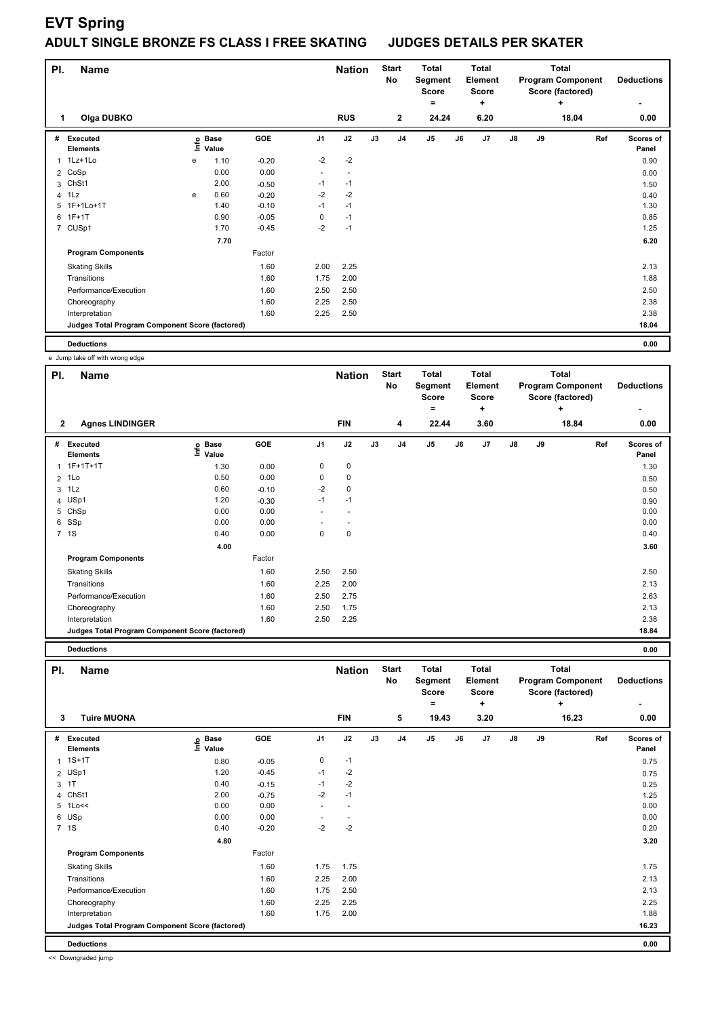## **EVT Spring**

## **ADULT SINGLE BRONZE FS CLASS I FREE SKATING JUDGES DETAILS PER SKATER**

| PI.            | <b>Name</b>                                     |      |                      |            |                | <b>Nation</b>            |    | <b>Start</b><br>No | <b>Total</b><br>Segment<br><b>Score</b><br>٠ |    | <b>Total</b><br>Element<br><b>Score</b><br>٠ |    |    | <b>Total</b><br><b>Program Component</b><br>Score (factored)<br>÷ | <b>Deductions</b>  |
|----------------|-------------------------------------------------|------|----------------------|------------|----------------|--------------------------|----|--------------------|----------------------------------------------|----|----------------------------------------------|----|----|-------------------------------------------------------------------|--------------------|
|                | Olga DUBKO                                      |      |                      |            |                | <b>RUS</b>               |    | $\overline{2}$     | 24.24                                        |    | 6.20                                         |    |    | 18.04                                                             | 0.00               |
| #              | Executed<br><b>Elements</b>                     | ١nfo | <b>Base</b><br>Value | <b>GOE</b> | J <sub>1</sub> | J2                       | J3 | J <sub>4</sub>     | J <sub>5</sub>                               | J6 | J7                                           | J8 | J9 | Ref                                                               | Scores of<br>Panel |
| 1              | $1Lz+1L0$                                       | e    | 1.10                 | $-0.20$    | $-2$           | $-2$                     |    |                    |                                              |    |                                              |    |    |                                                                   | 0.90               |
|                | 2 CoSp                                          |      | 0.00                 | 0.00       | ٠              | $\overline{\phantom{a}}$ |    |                    |                                              |    |                                              |    |    |                                                                   | 0.00               |
| 3              | ChSt1                                           |      | 2.00                 | $-0.50$    | $-1$           | $-1$                     |    |                    |                                              |    |                                              |    |    |                                                                   | 1.50               |
|                | 4 1Lz                                           | e    | 0.60                 | $-0.20$    | $-2$           | $-2$                     |    |                    |                                              |    |                                              |    |    |                                                                   | 0.40               |
| 5              | 1F+1Lo+1T                                       |      | 1.40                 | $-0.10$    | $-1$           | $-1$                     |    |                    |                                              |    |                                              |    |    |                                                                   | 1.30               |
| 6              | $1F+1T$                                         |      | 0.90                 | $-0.05$    | 0              | $-1$                     |    |                    |                                              |    |                                              |    |    |                                                                   | 0.85               |
| $\overline{7}$ | CUSp1                                           |      | 1.70                 | $-0.45$    | $-2$           | $-1$                     |    |                    |                                              |    |                                              |    |    |                                                                   | 1.25               |
|                |                                                 |      | 7.70                 |            |                |                          |    |                    |                                              |    |                                              |    |    |                                                                   | 6.20               |
|                | <b>Program Components</b>                       |      |                      | Factor     |                |                          |    |                    |                                              |    |                                              |    |    |                                                                   |                    |
|                | <b>Skating Skills</b>                           |      |                      | 1.60       | 2.00           | 2.25                     |    |                    |                                              |    |                                              |    |    |                                                                   | 2.13               |
|                | Transitions                                     |      |                      | 1.60       | 1.75           | 2.00                     |    |                    |                                              |    |                                              |    |    |                                                                   | 1.88               |
|                | Performance/Execution                           |      |                      | 1.60       | 2.50           | 2.50                     |    |                    |                                              |    |                                              |    |    |                                                                   | 2.50               |
|                | Choreography                                    |      |                      | 1.60       | 2.25           | 2.50                     |    |                    |                                              |    |                                              |    |    |                                                                   | 2.38               |
|                | Interpretation                                  |      |                      | 1.60       | 2.25           | 2.50                     |    |                    |                                              |    |                                              |    |    |                                                                   | 2.38               |
|                | Judges Total Program Component Score (factored) |      |                      |            |                |                          |    |                    |                                              |    |                                              |    |    |                                                                   | 18.04              |
|                | <b>Deductions</b>                               |      |                      |            |                |                          |    |                    |                                              |    |                                              |    |    |                                                                   | 0.00               |

|              | e Jump take off with wrong edge                 |                   |         |      |               |    |                    |                                              |       |                                              |               |    |                                                                   |                    |
|--------------|-------------------------------------------------|-------------------|---------|------|---------------|----|--------------------|----------------------------------------------|-------|----------------------------------------------|---------------|----|-------------------------------------------------------------------|--------------------|
| PI.          | <b>Name</b>                                     |                   |         |      | <b>Nation</b> |    | <b>Start</b><br>No | <b>Total</b><br>Segment<br><b>Score</b><br>۰ |       | <b>Total</b><br>Element<br><b>Score</b><br>÷ |               |    | <b>Total</b><br><b>Program Component</b><br>Score (factored)<br>٠ | <b>Deductions</b>  |
| $\mathbf{2}$ | <b>Agnes LINDINGER</b>                          |                   |         |      | <b>FIN</b>    |    | 4                  |                                              | 22.44 | 3.60                                         |               |    | 18.84                                                             | 0.00               |
| #            | Executed<br><b>Elements</b>                     | e Base<br>⊆ Value | GOE     | J1   | J2            | J3 | J <sub>4</sub>     | J5                                           | J6    | J7                                           | $\mathsf{J}8$ | J9 | Ref                                                               | Scores of<br>Panel |
|              | 1 1F+1T+1T                                      | 1.30              | 0.00    | 0    | $\mathbf 0$   |    |                    |                                              |       |                                              |               |    |                                                                   | 1.30               |
|              | $2$ 1 Lo                                        | 0.50              | 0.00    | 0    | 0             |    |                    |                                              |       |                                              |               |    |                                                                   | 0.50               |
| 3            | 1Lz                                             | 0.60              | $-0.10$ | $-2$ | 0             |    |                    |                                              |       |                                              |               |    |                                                                   | 0.50               |
|              | 4 USp1                                          | 1.20              | $-0.30$ | $-1$ | $-1$          |    |                    |                                              |       |                                              |               |    |                                                                   | 0.90               |
|              | 5 ChSp                                          | 0.00              | 0.00    |      |               |    |                    |                                              |       |                                              |               |    |                                                                   | 0.00               |
| 6            | SSp                                             | 0.00              | 0.00    |      |               |    |                    |                                              |       |                                              |               |    |                                                                   | 0.00               |
|              | 7 1S                                            | 0.40              | 0.00    | 0    | 0             |    |                    |                                              |       |                                              |               |    |                                                                   | 0.40               |
|              |                                                 | 4.00              |         |      |               |    |                    |                                              |       |                                              |               |    |                                                                   | 3.60               |
|              | <b>Program Components</b>                       |                   | Factor  |      |               |    |                    |                                              |       |                                              |               |    |                                                                   |                    |
|              | <b>Skating Skills</b>                           |                   | 1.60    | 2.50 | 2.50          |    |                    |                                              |       |                                              |               |    |                                                                   | 2.50               |
|              | Transitions                                     |                   | 1.60    | 2.25 | 2.00          |    |                    |                                              |       |                                              |               |    |                                                                   | 2.13               |
|              | Performance/Execution                           |                   | 1.60    | 2.50 | 2.75          |    |                    |                                              |       |                                              |               |    |                                                                   | 2.63               |
|              | Choreography                                    |                   | 1.60    | 2.50 | 1.75          |    |                    |                                              |       |                                              |               |    |                                                                   | 2.13               |
|              | Interpretation                                  |                   | 1.60    | 2.50 | 2.25          |    |                    |                                              |       |                                              |               |    |                                                                   | 2.38               |
|              | Judges Total Program Component Score (factored) |                   |         |      |               |    |                    |                                              |       |                                              |               |    |                                                                   | 18.84              |
|              | <b>Deductions</b>                               |                   |         |      |               |    |                    |                                              |       |                                              |               |    |                                                                   | 0.00               |

| PI. | <b>Name</b>                                     |                   |            |                | <b>Nation</b>            |    | <b>Start</b><br>No | <b>Total</b><br>Segment<br><b>Score</b> |    | Total<br>Element<br><b>Score</b> |               |    | Total<br><b>Program Component</b><br>Score (factored) | <b>Deductions</b>  |
|-----|-------------------------------------------------|-------------------|------------|----------------|--------------------------|----|--------------------|-----------------------------------------|----|----------------------------------|---------------|----|-------------------------------------------------------|--------------------|
| 3   | <b>Tuire MUONA</b>                              |                   |            |                | <b>FIN</b>               |    | 5                  | $\equiv$<br>19.43                       |    | ٠<br>3.20                        |               |    | ÷<br>16.23                                            | ٠<br>0.00          |
|     |                                                 |                   |            |                |                          |    |                    |                                         |    |                                  |               |    |                                                       |                    |
| #   | Executed<br><b>Elements</b>                     | e Base<br>E Value | <b>GOE</b> | J <sub>1</sub> | J2                       | J3 | J <sub>4</sub>     | J5                                      | J6 | J <sub>7</sub>                   | $\mathsf{J}8$ | J9 | Ref                                                   | Scores of<br>Panel |
|     | $1.1S+1T$                                       | 0.80              | $-0.05$    | 0              | $-1$                     |    |                    |                                         |    |                                  |               |    |                                                       | 0.75               |
|     | 2 USp1                                          | 1.20              | $-0.45$    | $-1$           | $-2$                     |    |                    |                                         |    |                                  |               |    |                                                       | 0.75               |
|     | $3-1$                                           | 0.40              | $-0.15$    | $-1$           | $-2$                     |    |                    |                                         |    |                                  |               |    |                                                       | 0.25               |
| 4   | ChSt1                                           | 2.00              | $-0.75$    | $-2$           | $-1$                     |    |                    |                                         |    |                                  |               |    |                                                       | 1.25               |
|     | 5 1Lo<<                                         | 0.00              | 0.00       | ٠              | $\overline{\phantom{a}}$ |    |                    |                                         |    |                                  |               |    |                                                       | 0.00               |
|     | 6 USp                                           | 0.00              | 0.00       |                | $\overline{\phantom{a}}$ |    |                    |                                         |    |                                  |               |    |                                                       | 0.00               |
|     | 7 1S                                            | 0.40              | $-0.20$    | $-2$           | $-2$                     |    |                    |                                         |    |                                  |               |    |                                                       | 0.20               |
|     |                                                 | 4.80              |            |                |                          |    |                    |                                         |    |                                  |               |    |                                                       | 3.20               |
|     | <b>Program Components</b>                       |                   | Factor     |                |                          |    |                    |                                         |    |                                  |               |    |                                                       |                    |
|     | <b>Skating Skills</b>                           |                   | 1.60       | 1.75           | 1.75                     |    |                    |                                         |    |                                  |               |    |                                                       | 1.75               |
|     | Transitions                                     |                   | 1.60       | 2.25           | 2.00                     |    |                    |                                         |    |                                  |               |    |                                                       | 2.13               |
|     | Performance/Execution                           |                   | 1.60       | 1.75           | 2.50                     |    |                    |                                         |    |                                  |               |    |                                                       | 2.13               |
|     | Choreography                                    |                   | 1.60       | 2.25           | 2.25                     |    |                    |                                         |    |                                  |               |    |                                                       | 2.25               |
|     | Interpretation                                  |                   | 1.60       | 1.75           | 2.00                     |    |                    |                                         |    |                                  |               |    |                                                       | 1.88               |
|     | Judges Total Program Component Score (factored) |                   |            |                |                          |    |                    |                                         |    |                                  |               |    |                                                       | 16.23              |
|     | <b>Deductions</b>                               |                   |            |                |                          |    |                    |                                         |    |                                  |               |    |                                                       | 0.00               |

<< Downgraded jump